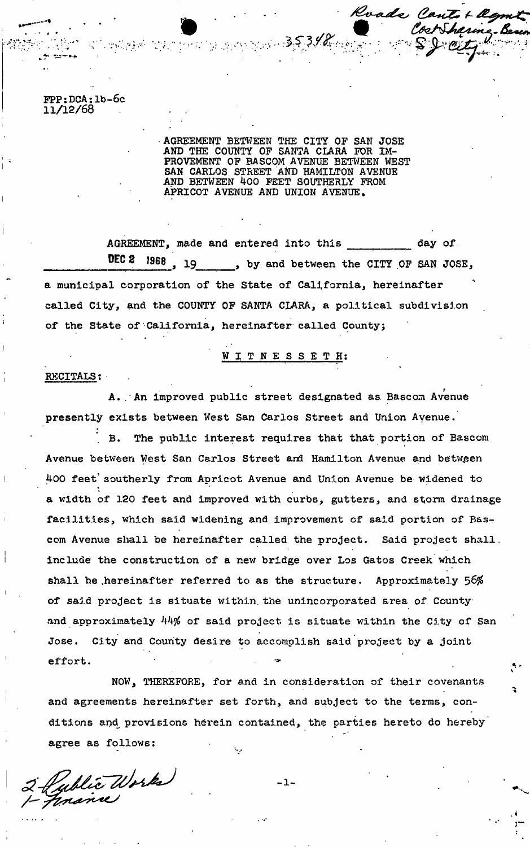FPP:DCA:lb-6c **11/12/68** 

> AGREEMENT BETWEEN THE CITY OP SAN JOSE AND THE COUNTY OF SANTA CLARA FOR IM-PROVEMENT OF BASCOM AVENUE BETWEEN WEST SAN CARLOS STREET AND HAMILTON AVENUE AND BETWEEN 400 FEET SOUTHERLY FROM APRICOT AVENUE AND UNION AVENUE,

W *Martin* ® 353%

Roads Cantot agent

Cost Sharing B

AGREEMENT, made and entered into this \_\_\_\_\_\_\_\_\_\_ day of DEC 2 1968, 19 by and between the CITY OF SAN JOSE, a municipal corporation of the State of California, hereinafter called City, and the COUNTY OF SANTA CLARA, a political subdivision of the State of California, hereinafter called County;

WITNESSETH :

RECITALS;

*f*  A..An improved public street designated as Eascom Avenue presently exists between West San Carlos Street and Union Avenue.

B. The public interest requires that that portion of Bascom Avenue between West San Carlos Street and Hamilton Avenue and between 400 feet' southerly from Apricot Avenue and Union Avenue be widened to a width of 120 feet and improved with curbs, gutters, and storm drainage facilities, which said widening and improvement of said portion of Bascom Avenue shall be hereinafter called the project. Said project shall. include the construction of a new bridge over Los Gatos Creek which shall be hereinafter referred to as the structure. Approximately 56% of said project is situate within the unincorporated area of Countyand approximately 44% of said project is situate within the City of San Jose. City and County desire to accomplish said project by a joint Jose. City and County desire to accomplish said project by a joint

NOW, THEREFORE, for and in consideration of their covenants and agreements hereinafter set forth, and subject to the terms, conand agreements hereinafter set for the terms, and subject to the terms, conditions and provisions herein contained, the parties hereto do hereby" agree as follows:

 $-1-$ 

Public Works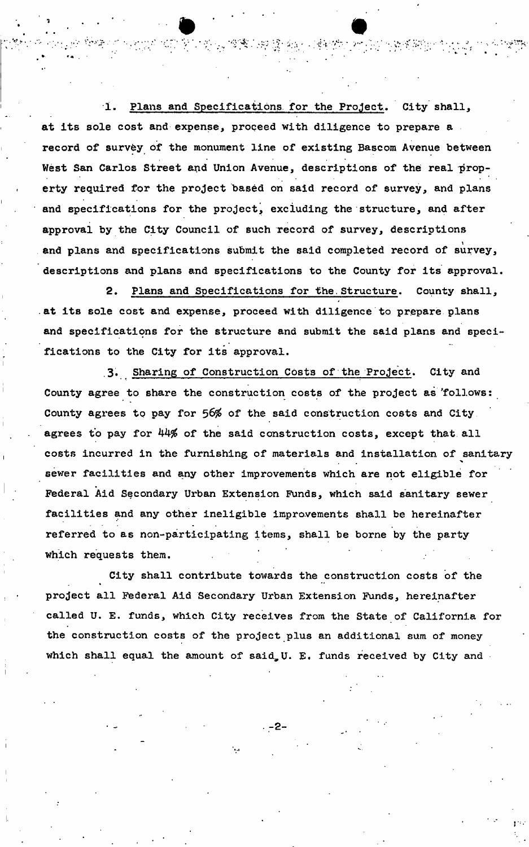1. Plans and Specifications for the Project. City shall, at its sole cost and expense, proceed with diligence to prepare a record of survey of the monument line of existing Bascom Avenue between West San Carlos Street and Union Avenue, descriptions of the real property required for the project based on said record of survey, and plans and specifications for the project, excluding the structure, and after approval by the City Council of such record of survey, descriptions and plans and specifications submit the said completed record of survey, descriptions and plans and specifications to the County for its approval,

 $\bullet$   $\bullet$   $\bullet$   $\bullet$ 

医阿斯克 愛麗宗樹 鬣 幽州 网络德

2. Plans and Specifications for the.Structure. County shall, at its sole cost and expense, proceed with diligence to prepare plans and specifications for the structure and submit the said plans and specifications to the City for its approval.

3. Sharing of Construction Costs of the Project. City and County agree to share the construction costs of the project as 'follows: County agrees to pay for 56% of the said construction costs and City. agrees to pay for 44% of the said construction costs, except that all costs incurred in the furnishing of materials and installation of sanitary sewer facilities and any other improvements which are not eligible for Federal Aid Secondary Urban Extension Funds, which said sanitary sewer facilities and any other ineligible improvements shall be hereinafter referred to as non-participating items, shall be borne by the party which requests them.

City shall contribute towards the construction costs of the project all Federal Aid Secondary Urban Extension Funds, hereinafter called U. E. funds, which City receives from the State of California for the construction costs of the project plus an additional sum of money which shall equal the amount of said U. E. funds received by City and

**-2-**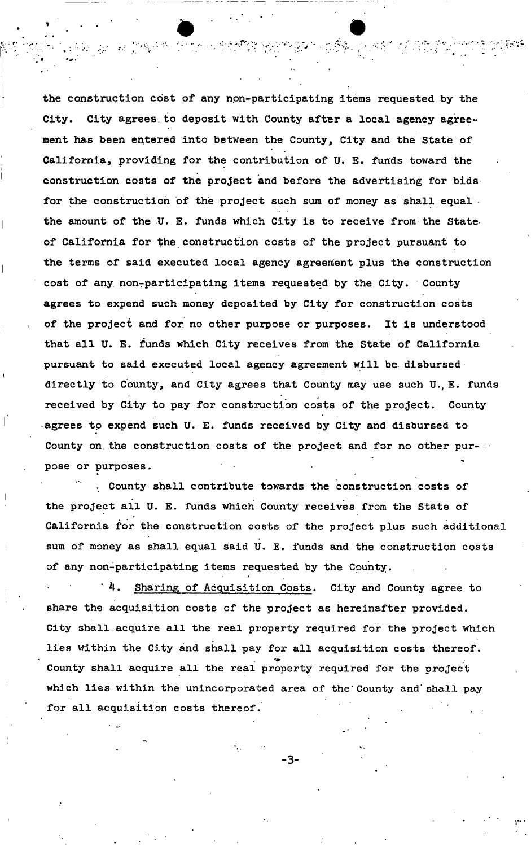the construction cost of any non-participating items requested by the City. City agrees to deposit with County after a local agency agreement has been entered into between the County, City and the State of California, providing for the contribution of U. E. funds toward the construction costs of the project and before the advertising for bids for the construction of the project such sum of money as shall equal. the amount of the U. E. funds which City is to receive from the State of California for the construction costs of the project pursuant to the terms of said executed local agency agreement plus the construction cost of any non-participating items requested by the City. County agrees to expend such money deposited by City for construction costs of the project and for. no other purpose or purposes. It is understood that all U. E. funds which City receives from the. State of California pursuant to said executed local agency agreement will be disbursed directly to County, and City agrees that County may use such U., E. funds received by City to pay for construction costs of the project. County agrees to expend such U. E. funds received by City and disbursed to County on. the construction costs of the project and for no other purpose or purposes.

gan aan finda in tin tin in de deeldhigte opgevaar in gegebruik fan 'e gebouwde in de findatie

. County shall contribute towards the construction costs of the project all U. E. funds which County receives from the State of California for the construction costs of the project plus such additional sum of money as shall equal said U. E. funds and the construction costs of any non-participating items requested by the County.

"4. Sharing of Acquisition Costs. City and County agree to share the acquisition costs of the project as hereinafter provided. City shall.acquire all the real property required for the project which lies within the City and shall pay for all acquisition costs thereof. County shall acquire all the real property required for the project which lies within the unincorporated area of the'County and'shall pay for all acquisition costs thereof.

i

-3-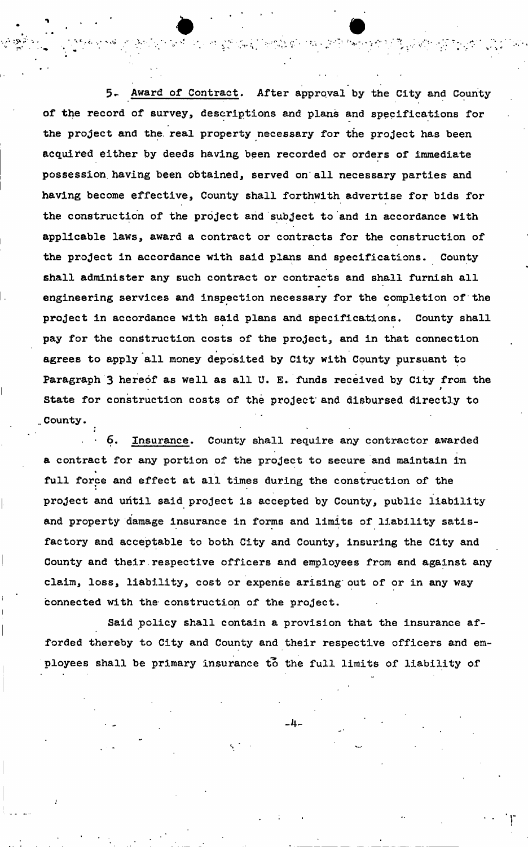5- Award of Contract. After approval by the City and County of the record of survey, descriptions and plans and specifications for the project and the. real property necessary for the project has been acquired either by deeds having been recorded or orders of immediate possession, having been obtained, served on all necessary parties and having become effective, County shall forthwith advertise for bids for the construction of the project and subject to and in accordance with applicable laws, award a contract or contracts for the construction of the project in accordance with said plans and specifications. County shall administer any such contract or contracts and shall furnish all engineering services and inspection necessary for the completion of the project in accordance with said plans and specifications. County shall pay for the construction costs of the project, and in that connection agrees to apply all money deposited by City with County pursuant to Paragraph 3 hereof as well as all U. E. funds received by City from the i State for construction costs of the project and disbursed directly to County.

计有效应用 爱想在爱丽娜的女子 化二氯甲基甲酮

\* .

Insurance. County shall require any contractor awarded a contract for any portion of the project to secure and maintain in full force and effect at all times during the construction of the project and until said project is accepted by County, public liability and property damage insurance in forms and limits of liability satisfactory and acceptable to both City and County, insuring the City and County and their respective officers and employees from and against any claim, loss, liability, cost or expense arising out of or in any way connected with the construction of the project.

Said policy shall contain a provision that the insurance afforded thereby to City and County and their respective officers and employees shall be primary insurance to the full limits of liability of

**-4-**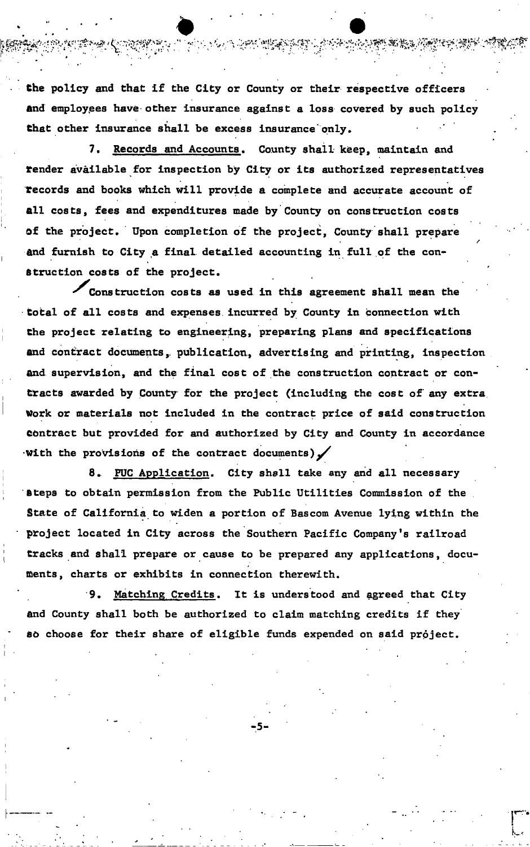**the policy and that if the City or County or their respective officers find employees have other insurance against a loss covered by such policy**  that other insurance shall be excess insurance only.

7. Records and Accounts. County shall keep, maintain and render available for inspection by City or its authorized representatives records and books which will provide a complete and accurate account of all costs, fees and expenditures made by County on construction costs Of the project. Upon completion of the project, County shall prepare and furnish to City a final detailed accounting in full of the construction costs of the project.

Construction costs as used in this agreement shall mean the total of all costs and expenses incurred by County in connection with Che project relating to engineering, preparing plans and specifications and contract documents, publication, advertising and printing, inspection and supervision, and the final cost of the construction contract or contracts awarded by County for the project (including the cost of any extra Work or materials not included in the contract price of said construction Contract but provided for and authorized by City and County in accordance With the provisions of the contract documents) $\checkmark$ 

8. FUC Application. City shall take any and all necessary Steps to obtain permission from the Public Utilities Commission of the State of California to widen a portion of Bascom Avenue lying within the project located in City across the Southern Pacific Company's railroad tracks and shall prepare or cause to be prepared any applications, documents, charts or exhibits in connection therewith.

9. Matching Credits. It is understood and agreed that City and County shall both be authorized to claim matching credits if they so choose for their share of eligible funds expended on said project.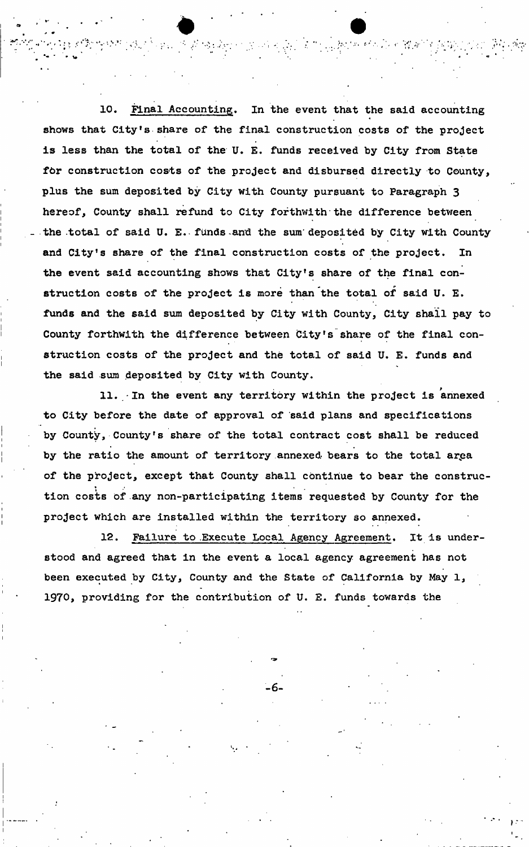10. Final Accounting. In the event that the said accounting shows that City's share of the final construction costs of the project is less than the total of the U. E. funds received by City from State for construction costs of the project and disbursed directly to County, plus the sum deposited by City with County pursuant to Paragraph 3 hereof, County shall refund to City forthwith the difference between the .total of said U. E. funds-and the sum'deposited by City with County and City's share of the final construction costs of the project. In the event said accounting shows that City's share of the final construction costs of the project is more than the total of said U. E. funds and the said sum deposited by City with County, City shall pay to County forthwith the difference between City's share of the final construction costs of the project and the total of said U. E. funds and the said sum deposited by City with County.

11. In the event any territory within the project is annexed to City before the date of approval of said plans and specifications by County, County's share of the total contract cost shall be reduced by the ratio the amount of territory annexed bears to the total area of the project, except that County shall continue to bear the construction costs of any non-participating items requested by County for the project which are installed within the territory so annexed.

12. Failure to .Execute Local Agency Agreement. It is understood and agreed that in the event a local agency agreement has not been executed by City, County and the State of California by May 1, 1970, providing for the contribution of U. E. funds towards the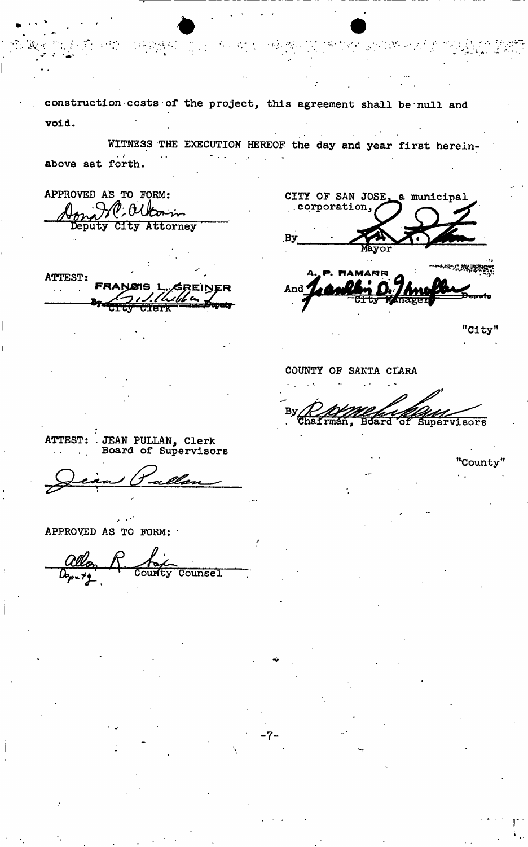construction costs of the project, this agreement shall be null and void.

WITNESS THE EXECUTION HEREOF the day and year first hereinabove set forth.

APPROVED AS TO FORM: Attorney Deputy City

**ATTEST:** 

CITY OF SAN JOSE, a municipal .corporation, .By া ক্ষর <u>কাম দূ</u> And

"City"

COUNTY OF SANTA CLARA

Supervisors Board **of** 

JEAN PULLAN, Clerk<br>Board of Supervisors ATTEST:

APPROVED AS TO FORM:

Counsel

"County"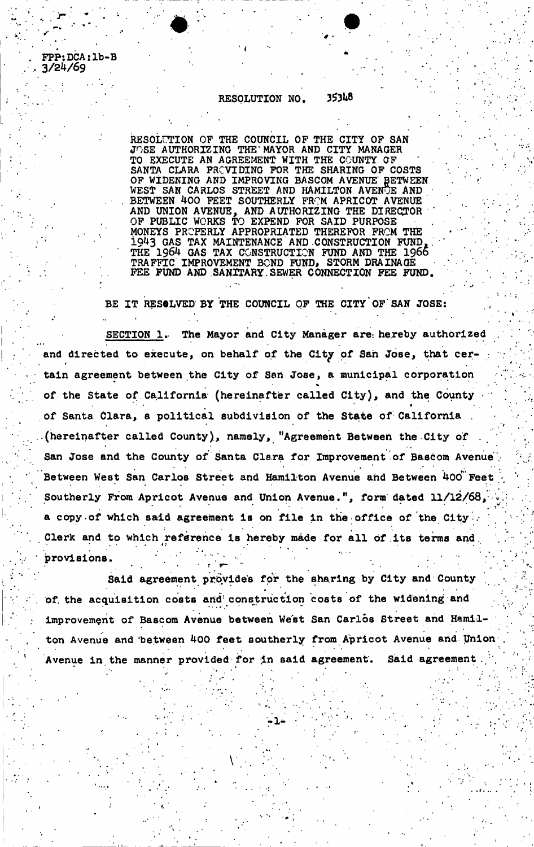RESOLUTION NO, 35348

FPP:DCA:lb-B

**3/24/69** 

RESOLUTION OF THE COUNCIL OF THE CITY OF SAN JOSE AUTHORIZING THE'MAYOR AND CITY MANAGER TO EXECUTE AN AGREEMENT WITH THE COUNTY OF SANTA CLARA PROVIDING FOR THE SHARING OF COSTS OF WIDENING AND IMPROVING BASCOM AVENUE BETWEEN WEST SAN CARLOS STREET AND HAMILTON AVENUE AND BETWEEN 400 FEET SOUTHERLY FROM APRICOT AVENUE AND UNION AVENUE, AND AUTHORIZING THE DIRECTOR OF PUBLIC WORKS TO EXPEND FOR SAID PURPOSE MONEYS PROPERLY APPROPRIATED THEREFOR FROM THE 1943 GAS TAX MAINTENANCE AND CONSTRUCTION FUND, THE 1964 GAS TAX CONSTRUCTION FUND AND THE 1966 TRAFFIC IMPROVEMENT BOND FUND, STORM DRAINAGE FEE FUND AND SANITARY.SEWER CONNECTION FEE FUND.

BE IT RESOLVED BY THE COUNCIL OF THE CITY OF SAN JOSE:

SECTION 1. The Mayor and City Manager are hereby authorized and directed to execute, on behalf of the City of San Jose, that certain agreement between the City of San Jose, a municipal corporation of the State of California (hereinafter called City), and the County  $\bullet$  , and the set of the set of the set of the set of the set of the set of the set of the set of the set of the set of the set of the set of the set of the set of the set of the set of the set of the set of the set of t of Santa Clara, a political subdivision of the State of California (hereinafter called County), namely, "Agreement Between the City of San Jose and the County of Santa Clara for Improvement of Bascom Avenue Between West San Carlos Street and Hamilton Avenue and Between 400 Feet Southerly From Apricot Avenue and Union Avenue.", form dated 11/12/68, a copy of which said agreement is on file in the office of the City. Clerk and to which reference is hereby made for all of its terms and Clerk and to which reference is hereby made for all of its terms and.

provisions. Said agreement provides for the sharing by City and County of the acquisition costs and construction costs of the widening and improvement of Bascom Avenue between West San Carlos Street and Hamilton Avenue and between 400 feet southerly from Apricot Avenue and Union Avenue in the manner provided for in said agreement. Said agreement

Avenue in the manner provided for in said agreement. Siaid agreement .

: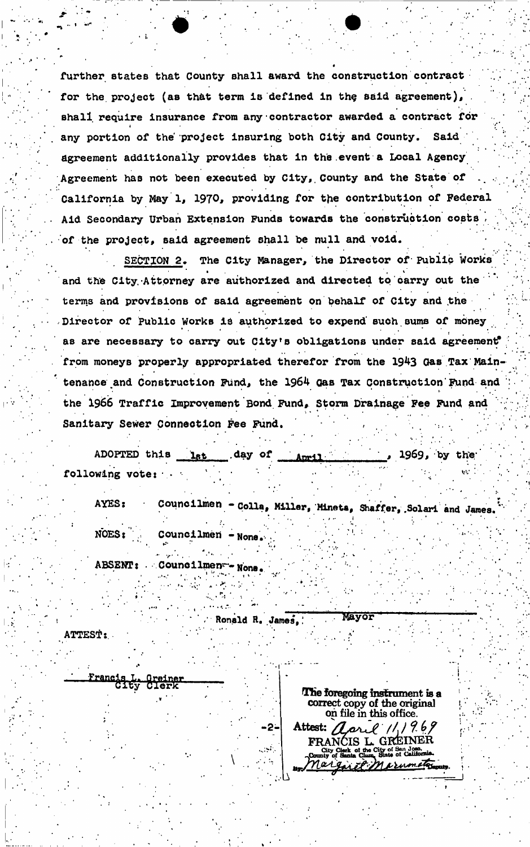further states that County shall award the construction contract for the project (as that term is defined in the said agreement), shall require insurance from any contractor awarded a contract for any portion of the project insuring both City and County. Said agreement additionally provides that in the .event a Local Agency Agreement has not been executed by City, County and the State of California by May 1, 1970, providing for the contribution of Federal Aid Secondary Urban Extension Funds towards the construction costs of the project, said agreement shall be null and void.

SECTION *2.* The City Manager, the Director of Public Works and the City. Attorney are authorized and directed to carry out the ' terms and provisions of said agreement on behalf of City and ,the Director of Public Works is authorized to expend such sums of money  $\mathcal{P}(\mathcal{P})=\{x\in\mathcal{P}(\mathcal{P})|~|~\mathcal{P}(\mathcal{P})=0\}$  , where  $\mathcal{P}(\mathcal{P})=\{x\in\mathcal{P}(\mathcal{P})|~|~\mathcal{P}(\mathcal{P})=0\}$ as are necessary to carry out City's obligations under said agreement<sup>®</sup> from moneys properly appropriated therefor from the 1943 Gas Tax Maintenance and Construction Fund, the 1964 Gas Tax Construction Fund and the 1966 Traffic Improvement Bond. Fund, Storm Drainage Fee Fund and Sanitary Sewer Connection Fee Fund. • ,<sup>t</sup>

ADOPTED this lat day of **April 1969**, by the following vote:  $\alpha$  -  $\mathbf{w}$  is a  $\mathbf{w}$ 

AYES: NOES: Councilmen - Colla, Miller, Mineta, Shaffer, Solari and James.  $\mathbf{P}_{\mathbf{p}}$  . In the set of the set of the set of the set of the set of the set of the set of the set of the set of the set of the set of the set of the set of the set of the set of the set of the set of the set of the Councilmen - None <sup>1</sup> • • Councilmeri -None,- .. ' :

1 • \* \* . ' . • •

ABSENT:

C ounce it leads the second of the second second in the second second in the second second in the second second in the second second in the second second in the second second in the second second in the second second secon

Ronald R. James, Mayor

ATTEST:,

rancis L.<br>City

|     | The foregoing instrument is a                                                      |
|-----|------------------------------------------------------------------------------------|
|     |                                                                                    |
|     | correct copy of the original<br>on file in this office.                            |
| -2- | Attest: aarl 11,1969                                                               |
|     | FRANCIS L. GREINER                                                                 |
|     | City Clerk of the City of San Jose.<br>County of Santa Clara, State of California. |
|     | regist Marumeter                                                                   |
|     |                                                                                    |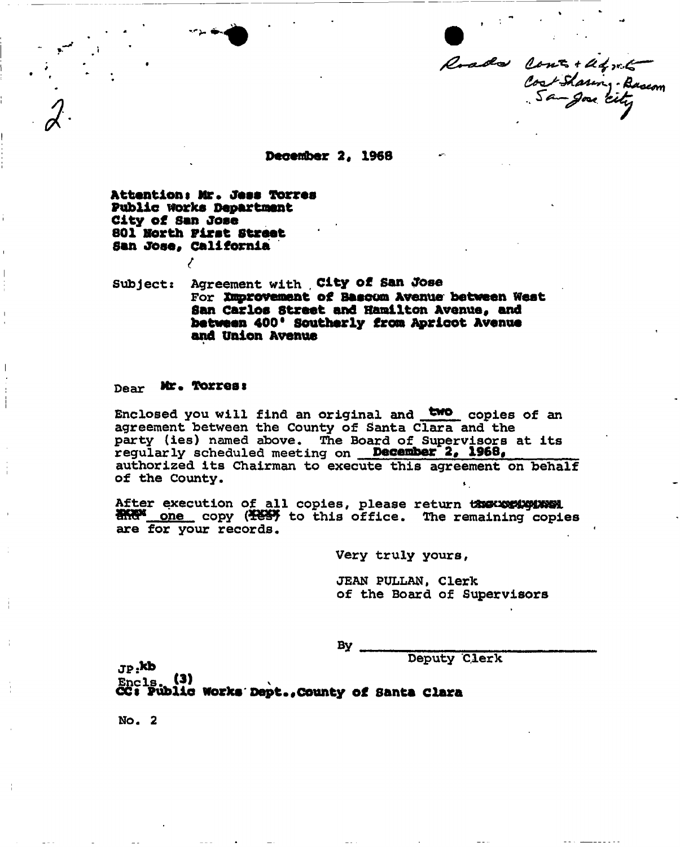Roads Cont + Und + Basson

**Deceriber 2, 1968** 

**Attention\$ Mr. Jess Torres Public works Department City of San Jose 801 north First Street**  San Jose, California

*{* 

Subjects Agreement with . **City of San Jose**  For **Improvement of Beseem Avenue between West San Carlos Street and Hamilton Avenue, and between 400\* Southerly from Aprloot Avenue and Union Avenue** *\** 

#### **Dear Mr. Torres:**

Enclosed you will find an original and **two** copies of an agreement between the County of Santa Clara and the party (ies) named above. The Board of Supervisors at its regularly scheduled meeting on **December 20 1968,**  authorized its Chairman to execute this agreement on behalf of the County.

After execution of all copies, please return the execution **HARM** one copy (KESY to this office. The remaining copies are for your records.

Very truly yours,

JEAN PULLAN, Clerk of the Board of Supervisors

By .

Deputy Clerk

 $_{\rm \bf 3P:}$ kl  $_{\rm{Enc1s.}}$  (3)

**CCS Public works Dept.,county of Santa Clara** 

NO. 2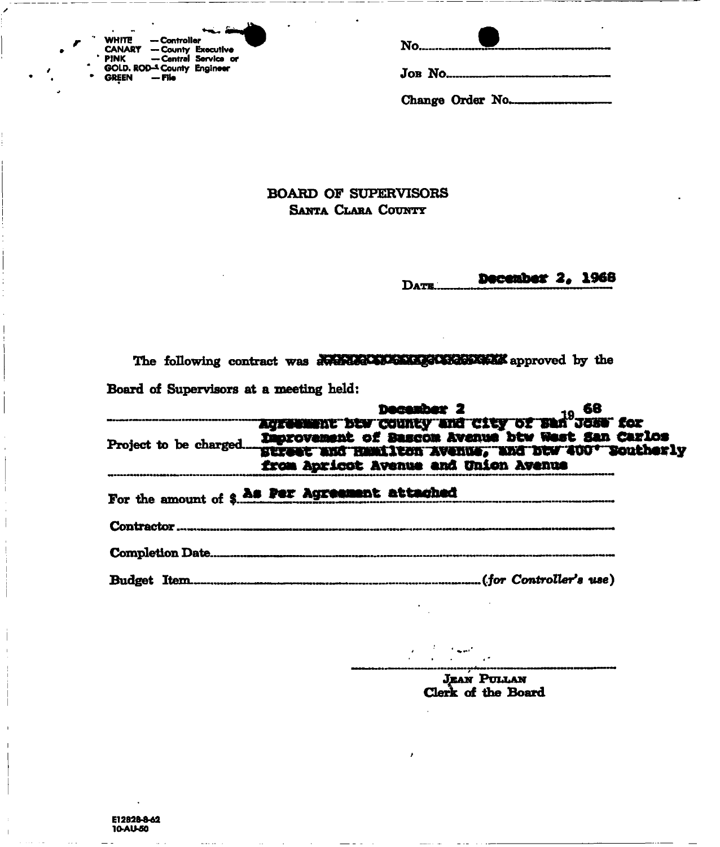| ۰.             | <b>WHITE</b>  | — Controller                |                      |
|----------------|---------------|-----------------------------|----------------------|
|                | <b>CANARY</b> | - County Executive          |                      |
|                | ' PINK        |                             | - Central Service or |
| $\blacksquare$ |               | GOLD. ROD-4 County Engineer |                      |
|                | <b>GREEN</b>  | — File                      |                      |

Change Order No....

**BOARD OF SUPERVISORS SANTA CLARA COUNTY** 

> December 2, 1968 DATE.

The following contract was averaged to a seperator approved by the Board of Supervisors at a meeting held:

|            | from Apricot Avenue and Union Avenue           |  |
|------------|------------------------------------------------|--|
|            | For the amount of \$ As Per Agreement attached |  |
| Contractor |                                                |  |
|            |                                                |  |
|            |                                                |  |

JEAN PULLAN<br>Clerk of the Board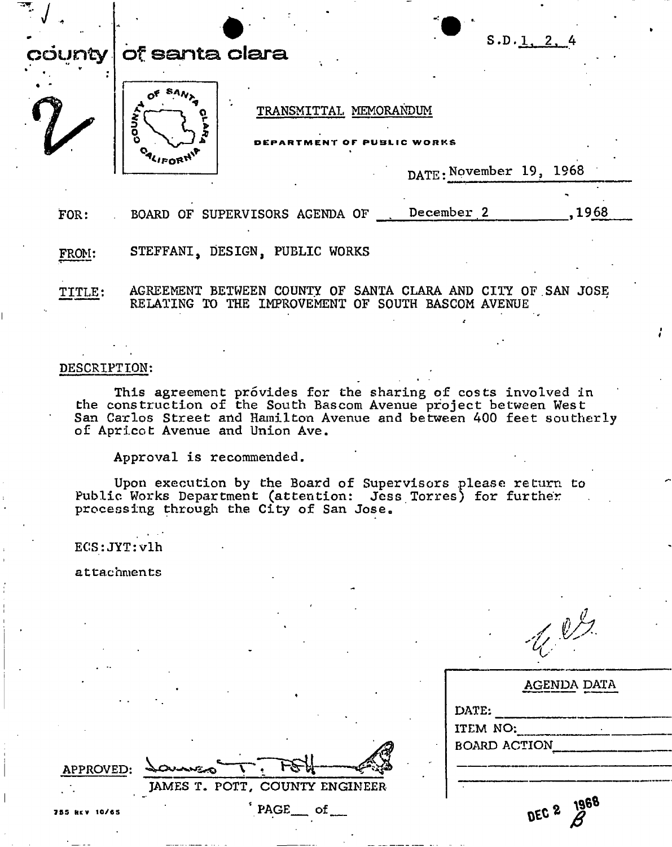|        | S.D. 1, 2, 4<br>county   of santa clara                                                                            |
|--------|--------------------------------------------------------------------------------------------------------------------|
|        | TRANSMITTAL MEMORANDUM<br>さっ<br>WORKS                                                                              |
|        | <b>OALIFORM</b><br>DATE: November 19, 1968                                                                         |
|        | .1968<br>FOR: BOARD OF SUPERVISORS AGENDA OF __ December 2                                                         |
| FROM:  | STEFFANI, DESIGN, PUBLIC WORKS                                                                                     |
| TITLE: | AGREEMENT BETWEEN COUNTY OF SANTA CLARA AND CITY OF SAN JOSE<br>RELATING TO THE IMPROVEMENT OF SOUTH BASCOM AVENUE |

This agreement provides for the sharing of costs involved in the construction of the South Bascom Avenue project between West San Carlos Street and Hamilton Avenue and between 400 feet southerly of Apricot Avenue and Union Ave.

Approval is recommended.

Upon execution by the Board of Supervisors please return to Public Works Department (attention: Jess Torres) for further processing through the City of San Jose<sup>a</sup>

 $ECS:JYT:v1h$ 

attachments

| $\ell$<br>$\mathcal{L}$<br>$\mathscr{E}^{\pm}$ |
|------------------------------------------------|
|------------------------------------------------|

|                     | AGENDA DATA          |
|---------------------|----------------------|
| DATE:               |                      |
| ITEM NO:            |                      |
| <b>BOARD ACTION</b> |                      |
|                     |                      |
|                     |                      |
|                     | 1968                 |
|                     | $n \in \mathbb{C}$ 2 |

**APPROVED:** 

 $\perp$   $\perp$ **JAMES T. POTT, COUNTY ENGINEER** 

PAGE\_\_ of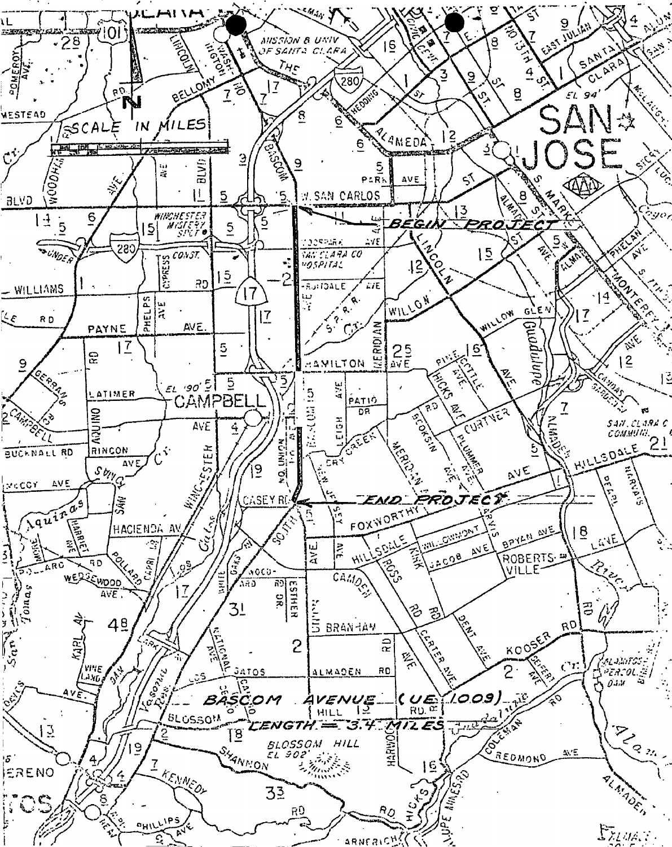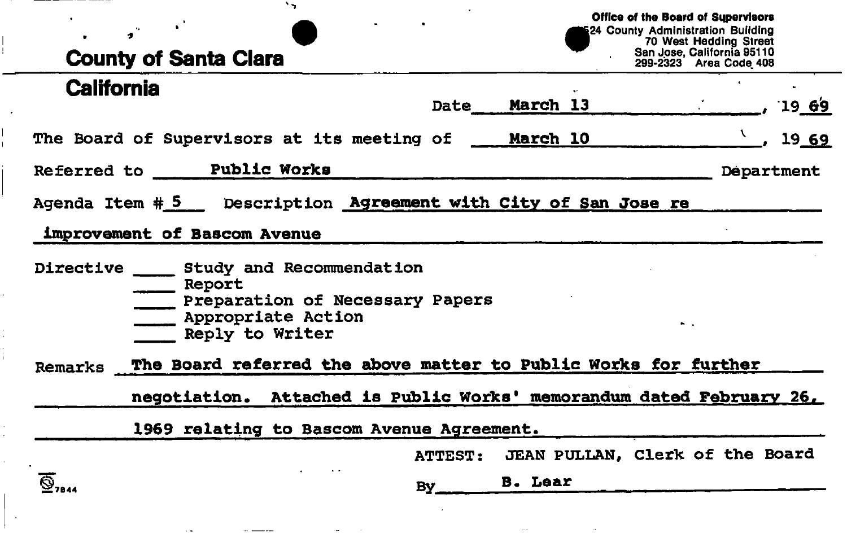### **County of Santa Clara Office of the Board of Supervisors**  124 County Administration Building 70 West Hedding Street San Jose, California 95110 299-2323 Area Code 408 **California**  Date^ **March 13**  The Board of Supervisors at its meeting of **March 10**  19 **69**  Referred to **Public Works**  19 **69**  Agenda Item # **5** Description **Agreement with City of San Jose re**  Department **improvement of Bascom Avenue**  Directive Study and Recommendation

\_\_ Report **EXECUTE:** Preparation of Necessary Papers **EXAPPROPRIATE Action** Reply to Writer

 $\overline{\mathbf{S}}_{2844}$ 

**Remarks The Board referred the above matter to Public Works for further** 

**negotiation. Attached is Public Works' memorandum dated February 26.** 

1969 relating to Bascom Avenue Agreement.

ATTEST: JEAN PULLAN, **Clerk of the Board** 

**B.** Lear

**By**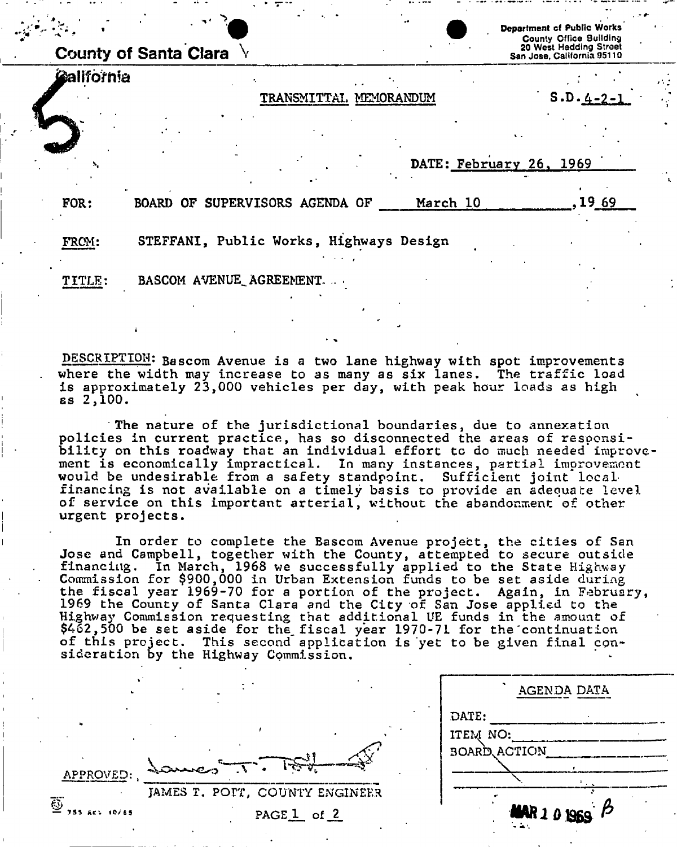|            | <b>County of Santa Clara</b>            |                        | Department of Public Works<br><b>County Office Building</b><br>20 West Hedding Street<br>San Jose, California 95110 |
|------------|-----------------------------------------|------------------------|---------------------------------------------------------------------------------------------------------------------|
| California |                                         |                        |                                                                                                                     |
|            |                                         | TRANSMITTAL MEMORANDUM | $S.D. 4-2-1$                                                                                                        |
|            |                                         |                        |                                                                                                                     |
|            |                                         |                        | DATE: February 26, 1969                                                                                             |
| FOR:       | BOARD OF SUPERVISORS AGENDA OF          | March 10               | .19 69                                                                                                              |
| FROM:      | STEFFANI, Public Works, Highways Design |                        |                                                                                                                     |
| TITLE:     | BASCOM AVENUE AGREEMENT                 |                        |                                                                                                                     |
|            |                                         |                        |                                                                                                                     |

DESCRIPTION: Bascom Avenue is a two lane highway with spot improvements where the width may increase to as many as six lanes. The traffic load is approximately 23,000 vehicles per day, with peak hour loads as high ss **,100 .** 

The nature of the jurisdictional boundaries, due to annexation policies in current practice, has so disconnected the areas of responsibility on this roadway that an individual effort to do much needed improvement is economically impractical. In many instances, partial improvement would be undesirable from a safety standpoint. Sufficient joint local financing is not available on a timely basis to provide an adequate level of service on this important arterial, without the abandonment of other urgent projects.

In order to complete the Bascom Avenue project, the cities of San Jose and Campbell, together with the County, attempted to secure outside financing. In March, 1968 we successfully applied to the State Highway Commission for \$900,000 in Urban Extension funds to be set aside during the fiscal year 1969-70 for a portion of the project. Again, in February, 1969 the County of Santa Clara and the City of San Jose applied to the Highway Commission requesting that additional UE funds in the amount of \$462,500 be set aside for the fiscal year 1970-71 for the continuation of this project. This second application is yet to be given final consideration by the Highway Commission.

|                                                                                                                          | AGENDA DATA                                                |
|--------------------------------------------------------------------------------------------------------------------------|------------------------------------------------------------|
| شهشتيدا<br>APPROVED: 200000<br>JAMES T. POPT, COUNTY ENGINEER<br>Ö<br>755 AC: 10/65<br>PAGE <sub>1</sub> of <sub>2</sub> | DATE:<br>ITEM NO:<br><b>BOARD ACTION</b><br>MAR 1 0 1969 P |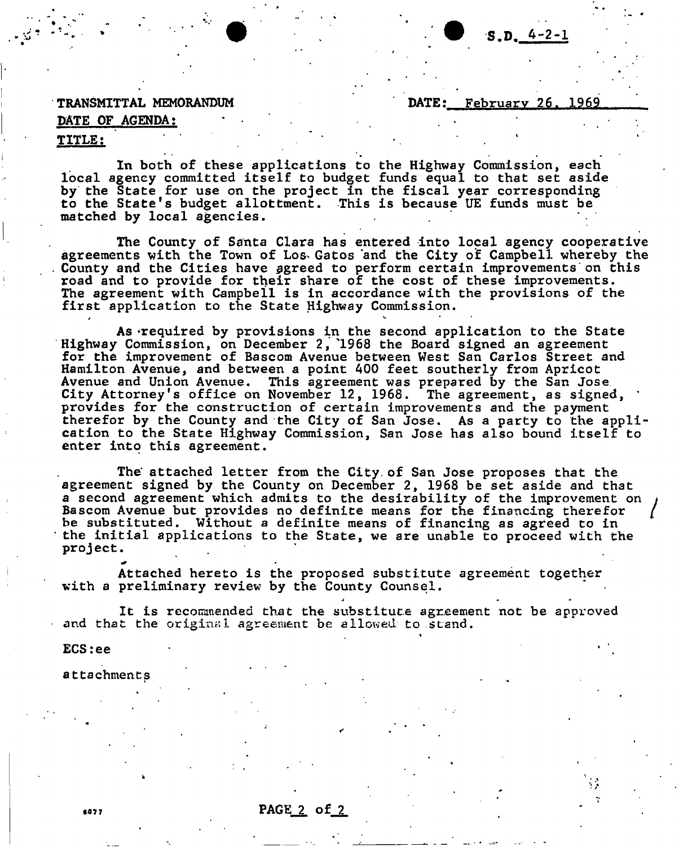#### TRANSMITTAL MEMORANDUM DATE: February 26, 1969

### DATE OF AGENDA;

#### <u>TITLE:</u> design and the state of the state of the state of the state of the state of the state of the state of the state

In both of these applications to the Highway Commission, each local agency committed itself to budget funds equal to that set aside by the State for use on the project in the fiscal year corresponding to the State's budget allottment. This is because UE funds must be matched by local agencies.

The County of Santa Clara has entered into local agency cooperative agreements with the Town of Los- Gatos "and the City of Campbell whereby the County and the Cities have agreed to perform certain improvements on this road and to provide for their share of the cost of these improvements. The agreement with Campbell is in accordance with the provisions of the first application to the State Highway Commission.

As ^required by provisions in the second application to the State Highway Commission, on December 2, "1968 the Board signed an agreement for the improvement of Bascom Avenue between West San Carlos Street and Hamilton Avenue, and between a point 400 feet southerly from Apricot Avenue and Union Avenue. This agreement was prepared by the San Jose City Attorney's office on November 12, 1968. The agreement, as signed, provides for the construction of certain improvements and the payment therefor by the County and the City of San Jose. As a party to the application to the State Highway Commission, San Jose has also bound itself to enter into this agreement.

The' attached letter from the City, of San Jose proposes that the agreement signed by the County on December 2, 1968 be set aside and that a second agreement which admits to the desirability of the improvement on Bascom Avenue but provides no definite means for the financing therefor be substituted. Without a definite means of financing as agreed to in to the State, we are unable to proceed with the  $\texttt{project:}$  intervals to the State to the State to project. project.

Attached hereto is the proposed substitute agreement together with a preliminary review by the County Counsel.

It is recommended that the substitute agreement not be approved and that the original agreement be allowed to stand.

*<sup>J</sup>* a >•

»

ECS:ee

6077

attachments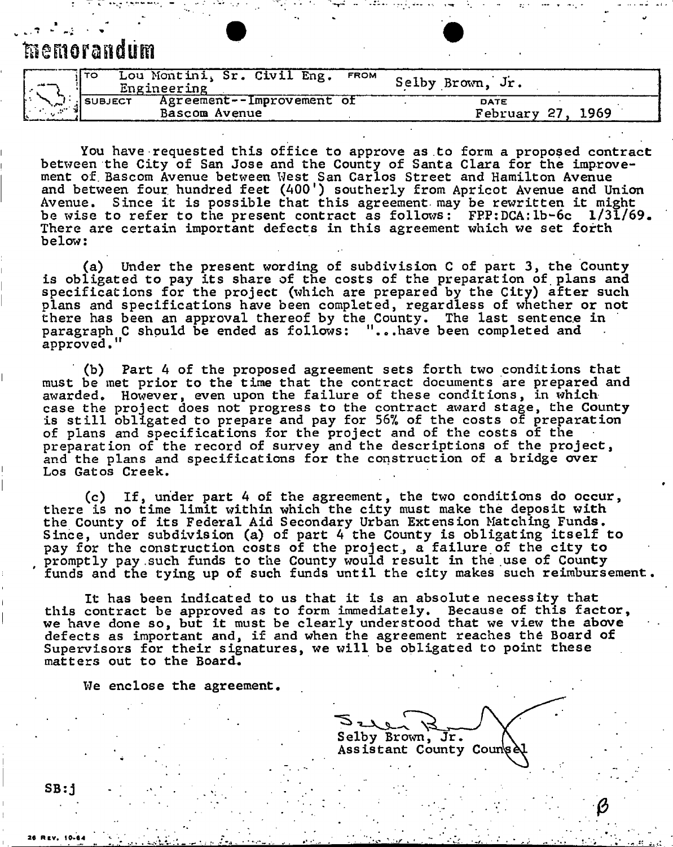## **memorandum**

|                                         | il TO          | Lou Montini, Sr. Civil Eng. FROM<br>Engineering |  |  | Selby Brown, Jr. |       |      |  |
|-----------------------------------------|----------------|-------------------------------------------------|--|--|------------------|-------|------|--|
| $\mathcal{L} = \mathcal{L} \mathcal{L}$ | <b>SUBJECT</b> | Agreement--Improvement of<br>Bascom Avenue      |  |  | DATE<br>February | 27. . | 1969 |  |

You have requested this office to approve as to form a proposed contract between the City of San Jose and the County of Santa Clara for the improvement of. Bascom Avenue between West San Carlos Street and Hamilton Avenue and between four, hundred feet (400') southerly from Apricot Avenue and Union Avenue. Since it is possible that this agreement- may be rewritten it might be wise to refer to the present contract as follows: FPP:DCA:lb-6c 1/31/69. There are certain important defects in this agreement which we set forth below:

(a) Under the present wording of subdivision C of part 3, the County is obligated to pay its share of the costs of the preparation of. plans and specifications for the project (which are prepared by the City) after such plans and specifications have been completed, regardless of whether or not there has been an approval thereof by the County. The last sentence in paragraph C should be ended as follows: "...have been completed and approved."

(b) Part 4 of the proposed agreement sets forth two conditions that must be met prior to the time that the contract documents are prepared and awarded. However, even upon the failure of these conditions, in which case the project does not progress to the contract award stage, the County is still obligated to prepare and pay for 56% of the costs of preparation of plans and specifications for the project and of the costs of the preparation of the record of survey and the descriptions of the project, and the plans and specifications for the construction of a bridge over Los Gatos Creek.

(c) If, under part 4 of the agreement, the two conditions do occur, there is no time limit within which the city must make the deposit with the County of its Federal Aid Secondary Urban Extension Matching Funds. Since, under subdivision (a) of part 4 the County is obligating itself to pay for the construction costs of the project, a failure of the city to promptly pay such funds to the County would result in the use of County funds and the tying up of such funds until the city makes such reimbursement.

It has been indicated to us that it is an absolute necessity that this contract be approved as to form immediately. Because of this factor, we have done so, but it must be clearly understood that we view the above defects as important and, if and when the agreement reaches the Board of Supervisors for their signatures, we will be obligated to point these matters out to the Board.

We enclose the agreement.

Selby Brown, Jr. Assistant County Counse

SB:j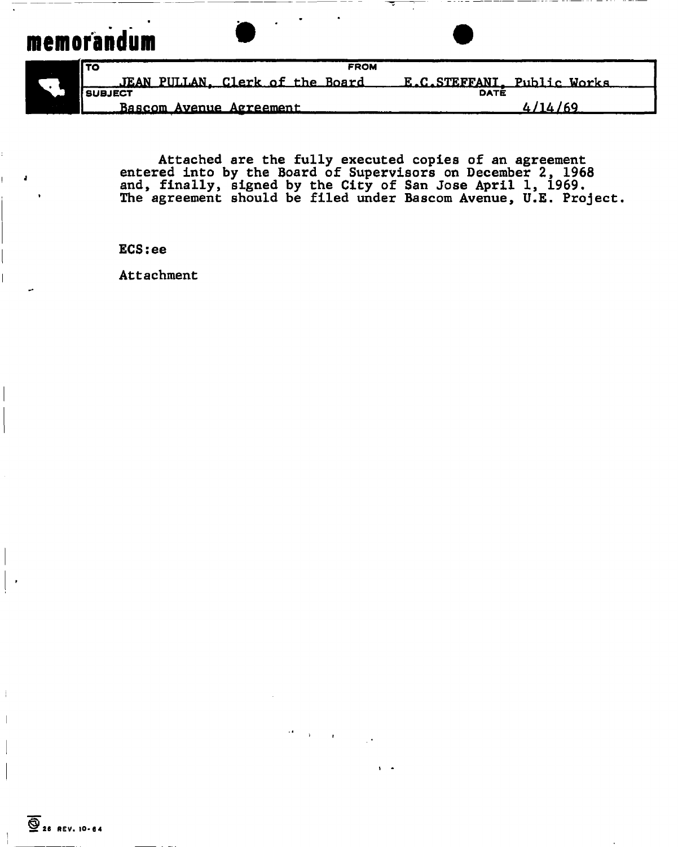# **memorandum**

 $\mathbf{I}$ 

| <b>FROM</b><br>l TO             |                            |  |  |  |
|---------------------------------|----------------------------|--|--|--|
| JEAN PULLAN. Clerk of the Board | E.C.STEFFANI. Public Works |  |  |  |
| <b>SUBJECT</b>                  | DATÉ                       |  |  |  |
| Bascom Avenue Agreement         | <i>ሊ  </i> 1 <i>ሊ  </i> 69 |  |  |  |

Attached are the fully executed copies of an agreement entered into by the Board of Supervisors on December 2, 1968 and, finally, signed by the City of San Jose April 1, 1969. The agreement should be filed under Bascom Avenue, U.E. Project.

ECS:ee

Attachment

÷